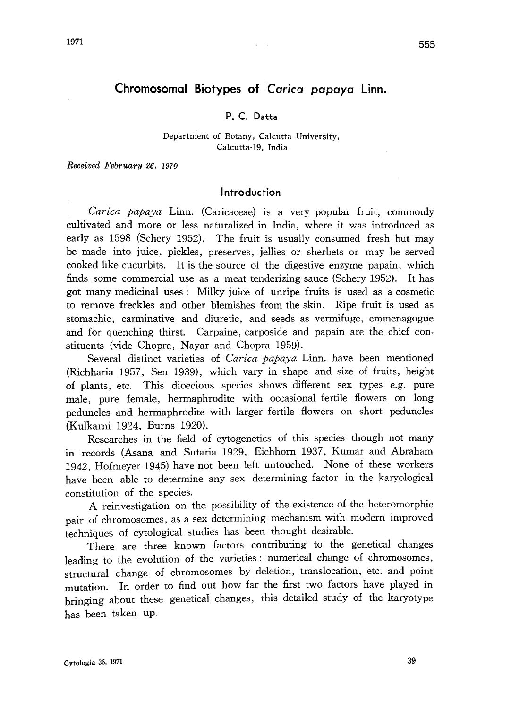# Chromosomal Biotypes of Carica papaya Linn.

# P. C. Datta

#### Department of Botany, Calcutta University, Calcutta-19, India

Received February 26, 1970

### Introduction

Carica papaya Linn. (Caricaceae) is a very popular fruit, commonly cultivated and more or less naturalized in India, where it was introduced as early as 1598 (Schery 1952). The fruit is usually consumed fresh but may be made into juice, pickles, preserves, jellies or sherbets or may be served cooked like cucurbits. It is the source of the digestive enzyme papain, which finds some commercial use as a meat tenderizing sauce (Schery 1952). It has got many medicinal uses: Milky juice of unripe fruits is used as a cosmetic to remove freckles and other blemishes from the skin. Ripe fruit is used as stomachic, carminative and diuretic, and seeds as vermifuge, emmenagogue and for quenching thirst. Carpaine, carposide and papain are the chief con stituents (vide Chopra, Nayar and Chopra 1959).

Several distinct varieties of Carica papaya Linn. have been mentioned (Richharia 1957, Sen 1939), which vary in shape and size of fruits, height of plants, etc. This dioecious species shows different sex types e. g. pure male, pure female, hermaphrodite with occasional fertile flowers on long peduncles and hermaphrodite with larger fertile flowers on short peduncles (Kulkarni 1924, Burns 1920).

Researches in the field of cytogenetics of this species though not many in records (Asana and Sutaria 1929, Eichhorn 1937, Kumar and Abraham 1942, Hofmeyer 1945) have not been left untouched. None of these workers have been able to determine any sex determining factor in the karyological constitution of the species.

A reinvestigation on the possibility of the existence of the heteromorphic pair of chromosomes, as a sex determining mechanism with modern improved techniques of cytological studies has been thought desirable.

There are three known factors contributing to the genetical changes leading to the evolution of the varieties: numerical change of chromosomes, structural change of chromosomes by deletion, translocation, etc. and point mutation. In order to find out how far the first two factors have played in bringing about these genetical changes, this detailed study of the karyotype has been taken up.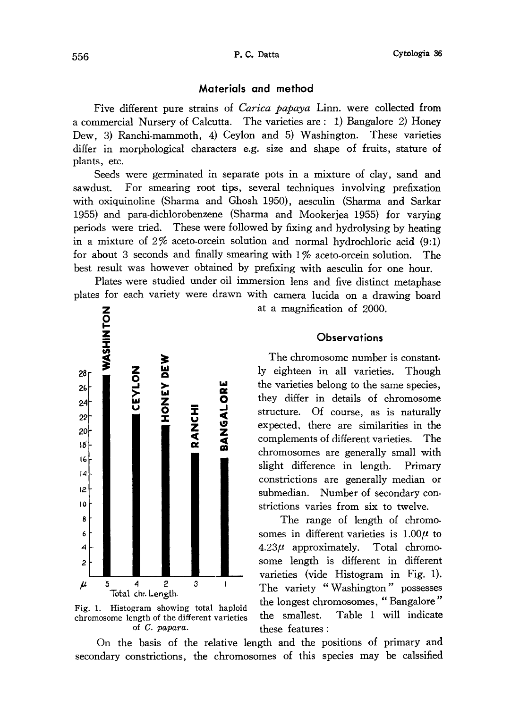### Materials and method

Five different pure strains of *Carica papaya* Linn. were collected from a commercial Nursery of Calcutta. The varieties are: 1) Bangalore 2) Honey Dew, 3) Ranchi-mammoth, 4) Ceylon and 5) Washington. These varieties differ in morphological characters e.g. size and shape of fruits, stature of plants, etc.

Seeds were germinated in separate pots in a mixture of clay, sand and sawdust. For smearing root tips, several techniques involving prefixation with oxiquinoline (Sharma and Ghosh 1950), aesculin (Sharma and Sarkar 1955) and para-dichlorobenzene (Sharma and Mookerjea 1955) for varying periods were tried. These were followed by fixing and hydrolysing by heating in a mixture of 2% aceto-orcein solution and normal hydrochloric acid (9:1) for about 3 seconds and finally smearing with 1% aceto-orcein solution. The best result was however obtained by prefixing with aesculin for one hour.

Plates were studied under oil immersion lens and five distinct metaphase plates for each variety were drawn with camera lucida on a drawing board





at a magnification of 2000.

# **Observations**

The chromosome number is constant ly eighteen in all varieties. Though the varieties belong to the same species, they differ in details of chromosome structure. Of course, as is naturally expected, there are similarities in the complements of different varieties. The chromosomes are generally small with slight difference in length. Primary constrictions are generally median or submedian. Number of secondary con strictions varies from six to twelve.

The range of length of chromo somes in different varieties is  $1.00\mu$  to  $4.23\mu$  approximately. Total chromosome length is different in different varieties (vide Histogram in Fig. 1). The variety "Washington" possesses the longest chromosomes, "Bangalore" the smallest. Table 1 will indicate these features:

On the basis of the relative length and the positions of primary and secondary constrictions, the chromosomes of this species may be calssified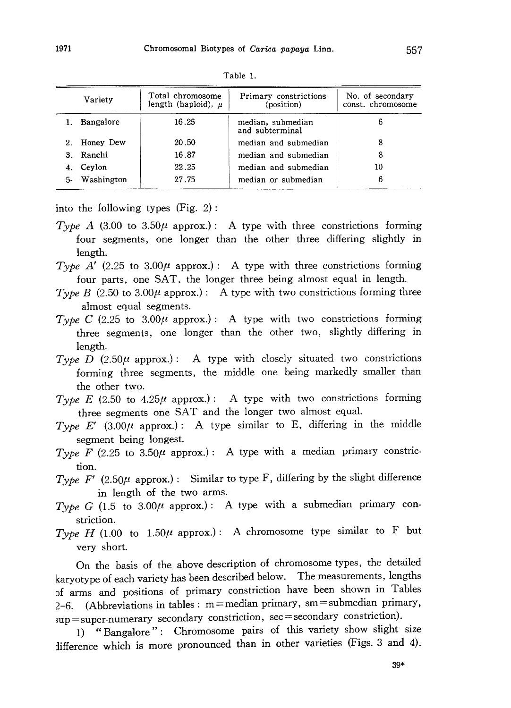| Variety |            | Total chromosome<br>length (haploid), $\mu$ | Primary constrictions<br>(position)  | No. of secondary<br>const. chromosome |
|---------|------------|---------------------------------------------|--------------------------------------|---------------------------------------|
|         | Bangalore  | 16.25                                       | median, submedian<br>and subterminal | 6                                     |
|         | Honey Dew  | 20.50                                       | median and submedian                 | 8                                     |
| З.      | Ranchi     | 16.87                                       | median and submedian                 | 8                                     |
|         | Ceylon     | 22.25                                       | median and submedian                 | 10                                    |
| 5-      | Washington | 27.75                                       | median or submedian                  | 6                                     |
|         |            |                                             |                                      |                                       |

Table 1.

into the following types (Fig. 2):

- Type A (3.00 to 3.50 $\mu$  approx.): A type with three constrictions forming four segments, one longer than the other three differing slightly in length.
- Type A' (2.25 to 3.00 $\mu$  approx.): A type with three constrictions forming four parts, one SAT, the longer three being almost equal in length.
- Type B (2.50 to 3.00 $\mu$  approx.): A type with two constrictions forming three almost equal segments.
- Type C (2.25 to 3.00 $\mu$  approx.): A type with two constrictions forming three segments, one longer than the other two, slightly differing in length.
- Type D (2.50 $\mu$  approx.): A type with closely situated two constrictions forming three segments, the middle one being markedly smaller than the other two.
- Type E (2.50 to 4.25 $\mu$  approx.): A type with two constrictions forming three segments one SAT and the longer two almost equal.
- Type E' (3.00 $\mu$  approx.): A type similar to E, differing in the middle segment being longest.
- Type F (2.25 to 3.50 $\mu$  approx.): A type with a median primary constriction.
- Type F' (2.50 $\mu$  approx.): Similar to type F, differing by the slight difference in length of the two arms.
- Type G (1.5 to 3.00 $\mu$  approx.): A type with a submedian primary constriction.
- Type H (1.00 to 1.50 $\mu$  approx.): A chromosome type similar to F but very short.

On the basis of the above description of chromosome types, the detailed karyotype of each variety has been described below. The measurements, lengths f arms and positions of primary constriction have been shown in Tables 2-6. (Abbreviations in tables:  $m=$  median primary, sm = submedian primary, sup=super-numerary secondary constriction, sec=secondary constriction).

1) "Bangalore": Chromosome pairs of this variety show slight size difference which is more pronounced than in other varieties (Figs. 3 and 4).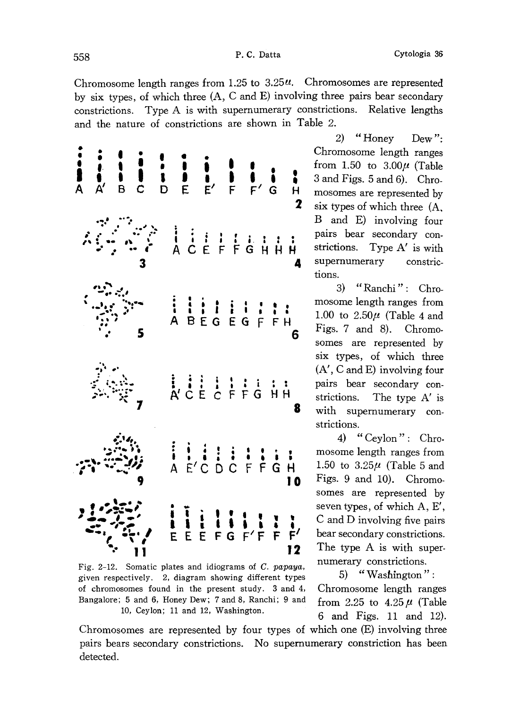Chromosome length ranges from 1.25 to  $3.25\mu$ . Chromosomes are represented by six types, of which three (A, C and E) involving three pairs bear secondary constrictions. Type A is with supernumerary constrictions. Relative lengths and the nature of constrictions are shown in Table 2.



Fig. 2-12. Somatic plates and idiograms of C. papaya, given respectively. 2, diagram showing different types of chromosomes found in the present study. 3 and 4, Bangalore; 5 and 6, Honey Dew; 7 and 8, Ranchi; 9 and 10, Ceylon; 11 and 12, Washington.

2) "Honey Dew": Chromosome length ranges from 1.50 to  $3.00\mu$  (Table 3 and Figs. 5 and 6). Chro mosomes are represented by six types of which three (A, B and E) involving four pairs bear secondary con strictions. Type A' is with supernumerary constrictions.

3) "Ranchi": Chro mosome length ranges from 1.00 to  $2.50\mu$  (Table 4 and Figs. 7 and 8). Chromo somes are represented by six types, of which three (A', C and E) involving four pairs bear secondary con strictions. The type A' is with supernumerary con strictions.

4) "Ceylon": Chro mosome length ranges from 1.50 to  $3.25\mu$  (Table 5 and Figs. 9 and 10). Chromo somes are represented by seven types, of which A, E', C and D involving five pairs bear secondary constrictions. The type A is with super numerary constrictions.

5) "Washington": Chromosome length ranges from 2.25 to  $4.25 \mu$  (Table 6 and Figs. 11 and 12).

Chromosomes are represented by four types of which one (E) involving three pairs bears secondary constrictions. No supernumerary constriction has been detected.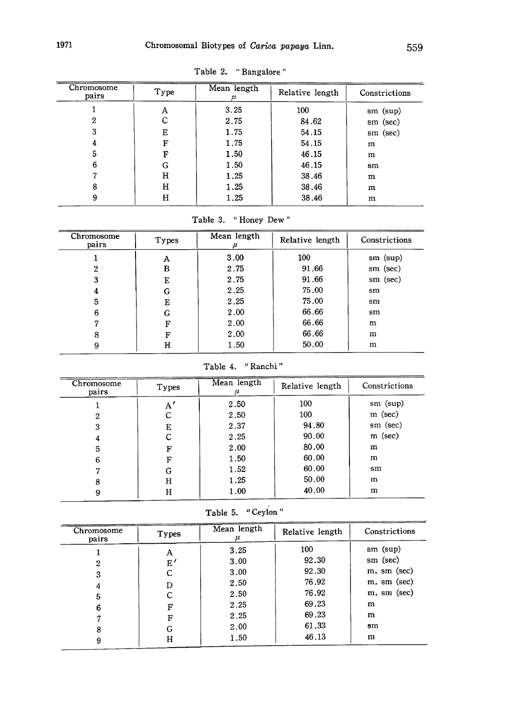| Chromosome<br>pairs | Type | Mean length | Relative length | Constrictions |
|---------------------|------|-------------|-----------------|---------------|
|                     | Α    | 3.25        | 100             | $sm$ (sup)    |
| 2                   | С    | 2.75        | 84.62           | sm (sec)      |
| 3                   | Е    | 1.75        | 54.15           | sm (sec)      |
|                     | F    | 1.75        | 54.15           | m             |
| 5                   | F    | 1.50        | 46.15           | m             |
| 6                   | G    | 1.50        | 46.15           | sm            |
|                     | н    | 1.25        | 38.46           | m             |
| 8                   | Н    | 1.25        | 38.46           | m             |
| 9                   | н    | 1.25        | 38.46           | m             |

Table 2. "Bangalore"

Table 3. "Honey Dew"

| Chromosome<br>pairs | Types | Mean length | Relative length | Constrictions |
|---------------------|-------|-------------|-----------------|---------------|
|                     | Α     | 3.00        | 100             | $sm$ (sup)    |
| 2                   | в     | 2.75        | 91.66           | sm (sec)      |
| 3                   | Е     | 2.75        | 91.66           | sm (sec)      |
| 4                   | G     | 2.25        | 75.00           | sm            |
| 5                   | Е     | 2.25        | 75.00           | sm            |
| 6                   | G     | 2.00        | 66.66           | sm            |
|                     | F     | 2.00        | 66.66           | m             |
| 8                   | F     | 2.00        | 66.66           | m             |
| 9                   | н     | 1.50        | 50.00           | m             |

```
Table 4. "Ranchi"
```
 $\bar{\lambda}$ 

| Chromosome<br>pairs | Types | Mean length | Relative length | Constrictions |
|---------------------|-------|-------------|-----------------|---------------|
|                     | A'    | 2.50        | 100             | $sm$ (sup)    |
| 2                   | C     | 2.50        | 100             | $m$ (sec)     |
| 3                   | Е     | 2.37        | 94.80           | sm (sec)      |
| 4                   | С     | 2.25        | 90.00           | m (sec)       |
| 5                   | F     | 2.00        | 80.00           | m             |
| 6                   | F     | 1.50        | 60.00           | m             |
|                     | G     | 1.52        | 60.00           | sm            |
| 8                   | н     | 1.25        | 50.00           | m             |
|                     | н     | 1.00        | 40.00           | m             |

Table 5. "Ceylon"

| Chromosome<br>pairs | Types      | Mean length | Relative length | Constrictions     |
|---------------------|------------|-------------|-----------------|-------------------|
|                     | Α          | 3.25        | 100             | $sm$ (sup)        |
| 2                   | $_{\rm E}$ | 3.00        | 92.30           | sm (sec)          |
| 3                   | С          | 3.00        | 92.30           | m, sm (sec)       |
| 4                   | D          | 2.50        | 76.92           | $m$ , sm $(\sec)$ |
| 5                   | с          | 2.50        | 76.92           | $m$ , sm $(sec)$  |
| 6                   | F          | 2.25        | 69.23           | m                 |
|                     | F          | 2.25        | 69.23           | m                 |
| 8                   | G          | 2.00        | 61.33           | $\mathbf{sm}$     |
| 9                   | Н          | 1.50        | 46.13           | m                 |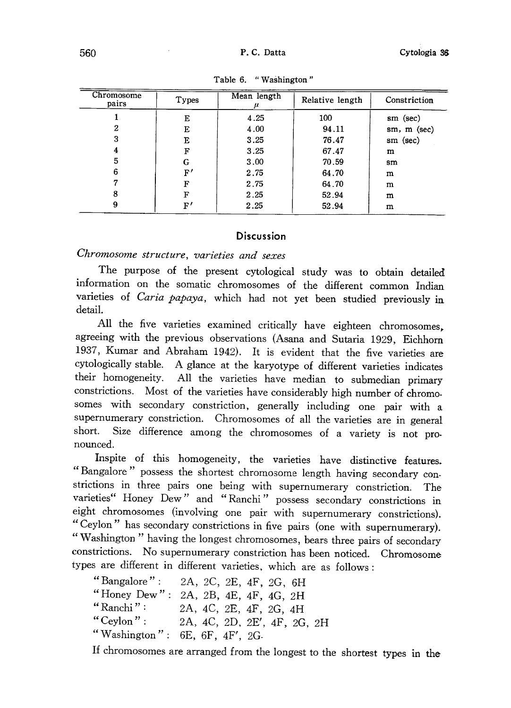| Chromosome<br>pairs | Types       | Mean length | Relative length | Constriction |
|---------------------|-------------|-------------|-----------------|--------------|
|                     | Е           | 4.25        | 100             | sm (sec)     |
| 2                   | Е           | 4.00        | 94.11           | sm, m (sec)  |
| 3                   | Е           | 3.25        | 76.47           | $sm$ (sec)   |
| 4                   | F           | 3.25        | 67.47           | m            |
| 5                   | G           | 3.00        | 70.59           | sm           |
| 6                   | $_{\rm F'}$ | 2.75        | 64.70           | m            |
|                     | F           | 2.75        | 64.70           | m            |
| 8                   | F           | 2.25        | 52.94           | m            |
| 9                   | $_{\rm F'}$ | 2.25        | 52.94           | m            |

Table 6. "Washington"

# **Discussion**

# Chromosome structure, varieties and sexe

The purpose of the present cytological study was to obtain detailed information on the somatic chromosomes of the different common Indian varieties of Caria papaya, which had not yet been studied previously in detail.

All the five varieties examined critically have eighteen chromosomes , agreeing with the previous observations (Asana and Sutaria 1929 , Eichhorn 1937, Kumar and Abraham 1942). It is evident that the five varieties are cytologically stable. A glance at the karyotype of different varieties indicates their homogeneity. All the varieties have median to submedian primary constrictions. Most of the varieties have considerably high number of chromo somes with secondary constriction, generally including one pair with a supernumerary constriction. Chromosomes of all the varieties are in general short. Size difference among the chromosomes of a variety is not pro nounced.

Inspite of this homogeneity, the varieties have distinctive features.<br>"Bangalore" access the distribution of the state of the state of the state of the state of the state of the state of the state of the state of the state "Bangalore" possess the shortest chromosome length having secondary constrictions in three pairs one being with supernumerary constriction . The varieties" Honey Dew" and "Ranchi" possess secondary constrictions in eight chromosomes (involving one pair with supernumerary constrictions) . "Ceylon" has secondary constrictions in five pairs (one with supernumerary). "Washington" having th e longest chromosomes, bears three pairs of secondary constrictions. No supernumerary constriction has been noticed. Chromosome types are different in different varieties, which are as follows

"Bangalore": 2A, 2C, 2E, 4F, 2G, 6F<br>"Honey Dew": 2A, 2B, 4E, 4F, 4G, 2H " $Ranchi$ ": , 4C, 2E, 4F, 2G, 4H "Ceylon": , 4C, 2D, 2E', 4F, 2G, 2H "Washington":  $6E$ ,  $6F$ ,  $4F'$ ,  $2G$ .

If chromosomes are arranged from the longest to the shortest types in the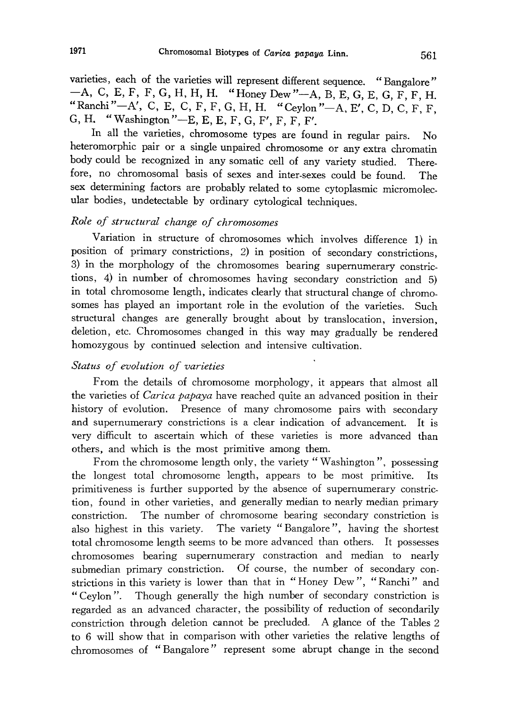varieties, each of the varieties will represent different sequence. "Bangalore"  $-A$ , C, E, F, F, G, H, H, H. "Honey Dew" - A, B, E, G, E, G, F, F, H. "Ranchi" -- A', C, E, C, F, F, G, H, H. "Ceylon" -- A, E', C, D, C, F, F, G, H. "Washington"-E, E, E, F, G, F', F, F, F'.

In all the varieties, chromosome types are found in regular pairs . No heteromorphic pair or a single unpaired chromosome or any extra chromatin body could be recognized in any somatic cell of any variety studied. Therefore, no chromosomal basis of sexes and inter-sexes could be found. The sex determining factors are probably related to some cytoplasmic micromolec ular bodies, undetectable by ordinary cytological techniques.

# Role of structural change of chromosomes

Variation in structure of chromosomes which involves difference 1) in position of primary constrictions, 2) in position of secondary constrictions, 3) in the morphology of the chromosomes bearing supernumerary constric tions, 4) in number of chromosomes having secondary constriction and 5) in total chromosome length, indicates clearly that structural change of chromo somes has played an important role in the evolution of the varieties. Such structural changes are generally brought about by translocation, inversion, deletion, etc. Chromosomes changed in this way may gradually be rendered homozygous by continued selection and intensive cultivation.

### Status of evolution of varieties

From the details of chromosome morphology, it appears that almost all the varieties of *Carica papaya* have reached quite an advanced position in their history of evolution. Presence of many chromosome pairs with secondary and supernumerary constrictions is a clear indication of advancement. It is very difficult to ascertain which of these varieties is more advanced than others, and which is the most primitive among them.

From the chromosome length only, the variety "Washington", possessing the longest total chromosome length, appears to be most primitive. Its primitiveness is further supported by the absence of supernumerary constric tion, found in other varieties, and generally median to nearly median primary constriction. The number of chromosome bearing secondary constriction is also highest in this variety. The variety "Bangalore", having the shortest total chromosome length seems to be more advanced than others. It possesses chromosomes bearing supernumerary constraction and median to nearly submedian primary constriction. Of course, the number of secondary con strictions in this variety is lower than that in "Honey Dew", "Ranchi" and "Ceylon" . Though generally the high number of secondary constriction is regarded as an advanced character, the possibility of reduction of secondarily constriction through deletion cannot be precluded. A glance of the Tables 2 to 6 will show that in comparison with other varieties the relative lengths of chromosomes of "Bangalore" represent some abrupt change in the second